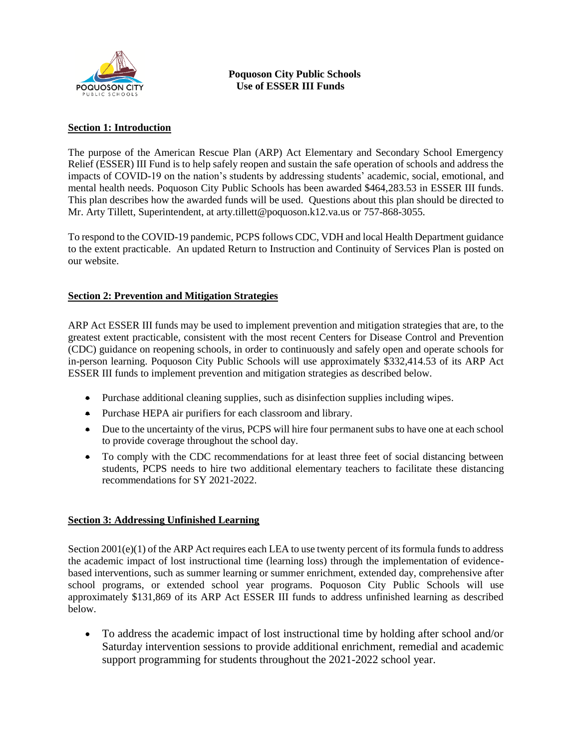

## **Section 1: Introduction**

The purpose of the American Rescue Plan (ARP) Act Elementary and Secondary School Emergency Relief (ESSER) III Fund is to help safely reopen and sustain the safe operation of schools and address the impacts of COVID-19 on the nation's students by addressing students' academic, social, emotional, and mental health needs. Poquoson City Public Schools has been awarded \$464,283.53 in ESSER III funds. This plan describes how the awarded funds will be used. Questions about this plan should be directed to Mr. Arty Tillett, Superintendent, at arty.tillett@poquoson.k12.va.us or 757-868-3055.

To respond to the COVID-19 pandemic, PCPS follows CDC, VDH and local Health Department guidance to the extent practicable. An updated Return to Instruction and Continuity of Services Plan is posted on our website.

# **Section 2: Prevention and Mitigation Strategies**

ARP Act ESSER III funds may be used to implement prevention and mitigation strategies that are, to the greatest extent practicable, consistent with the most recent Centers for Disease Control and Prevention (CDC) guidance on reopening schools, in order to continuously and safely open and operate schools for in-person learning. Poquoson City Public Schools will use approximately \$332,414.53 of its ARP Act ESSER III funds to implement prevention and mitigation strategies as described below.

- Purchase additional cleaning supplies, such as disinfection supplies including wipes.
- Purchase HEPA air purifiers for each classroom and library.
- Due to the uncertainty of the virus, PCPS will hire four permanent subs to have one at each school to provide coverage throughout the school day.
- To comply with the CDC recommendations for at least three feet of social distancing between students, PCPS needs to hire two additional elementary teachers to facilitate these distancing recommendations for SY 2021-2022.

### **Section 3: Addressing Unfinished Learning**

Section 2001(e)(1) of the ARP Act requires each LEA to use twenty percent of its formula funds to address the academic impact of lost instructional time (learning loss) through the implementation of evidencebased interventions, such as summer learning or summer enrichment, extended day, comprehensive after school programs, or extended school year programs. Poquoson City Public Schools will use approximately \$131,869 of its ARP Act ESSER III funds to address unfinished learning as described below.

 To address the academic impact of lost instructional time by holding after school and/or Saturday intervention sessions to provide additional enrichment, remedial and academic support programming for students throughout the 2021-2022 school year.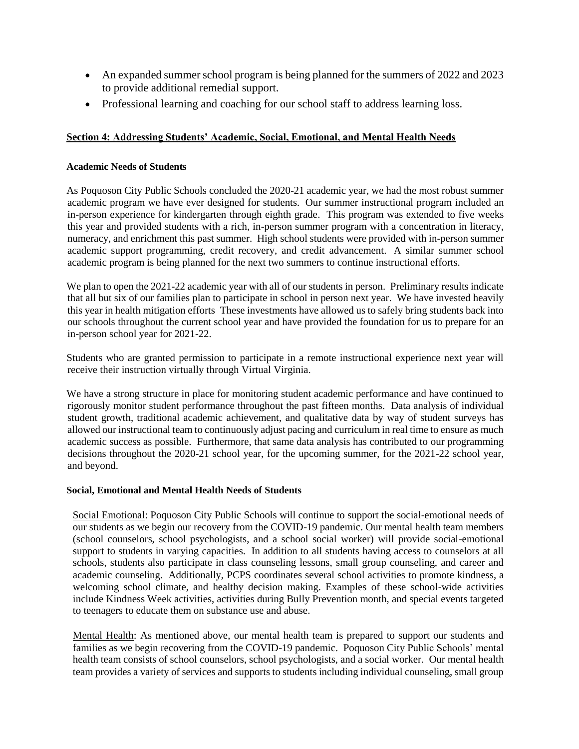- An expanded summer school program is being planned for the summers of 2022 and 2023 to provide additional remedial support.
- Professional learning and coaching for our school staff to address learning loss.

### **Section 4: Addressing Students' Academic, Social, Emotional, and Mental Health Needs**

### **Academic Needs of Students**

As Poquoson City Public Schools concluded the 2020-21 academic year, we had the most robust summer academic program we have ever designed for students. Our summer instructional program included an in-person experience for kindergarten through eighth grade. This program was extended to five weeks this year and provided students with a rich, in-person summer program with a concentration in literacy, numeracy, and enrichment this past summer. High school students were provided with in-person summer academic support programming, credit recovery, and credit advancement. A similar summer school academic program is being planned for the next two summers to continue instructional efforts.

We plan to open the 2021-22 academic year with all of our students in person. Preliminary results indicate that all but six of our families plan to participate in school in person next year. We have invested heavily this year in health mitigation efforts These investments have allowed us to safely bring students back into our schools throughout the current school year and have provided the foundation for us to prepare for an in-person school year for 2021-22.

Students who are granted permission to participate in a remote instructional experience next year will receive their instruction virtually through Virtual Virginia.

We have a strong structure in place for monitoring student academic performance and have continued to rigorously monitor student performance throughout the past fifteen months. Data analysis of individual student growth, traditional academic achievement, and qualitative data by way of student surveys has allowed our instructional team to continuously adjust pacing and curriculum in real time to ensure as much academic success as possible. Furthermore, that same data analysis has contributed to our programming decisions throughout the 2020-21 school year, for the upcoming summer, for the 2021-22 school year, and beyond.

### **Social, Emotional and Mental Health Needs of Students**

Social Emotional: Poquoson City Public Schools will continue to support the social-emotional needs of our students as we begin our recovery from the COVID-19 pandemic. Our mental health team members (school counselors, school psychologists, and a school social worker) will provide social-emotional support to students in varying capacities. In addition to all students having access to counselors at all schools, students also participate in class counseling lessons, small group counseling, and career and academic counseling. Additionally, PCPS coordinates several school activities to promote kindness, a welcoming school climate, and healthy decision making. Examples of these school-wide activities include Kindness Week activities, activities during Bully Prevention month, and special events targeted to teenagers to educate them on substance use and abuse.

Mental Health: As mentioned above, our mental health team is prepared to support our students and families as we begin recovering from the COVID-19 pandemic. Poquoson City Public Schools' mental health team consists of school counselors, school psychologists, and a social worker. Our mental health team provides a variety of services and supports to students including individual counseling, small group